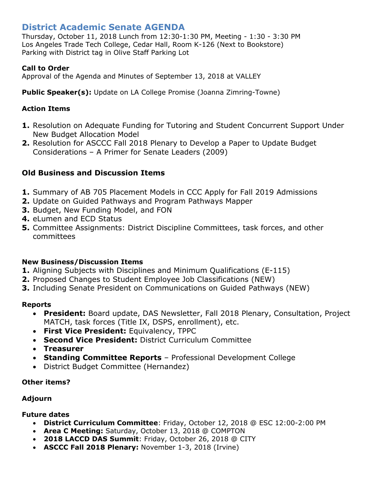# **District Academic Senate AGENDA**

Thursday, October 11, 2018 Lunch from 12:30-1:30 PM, Meeting - 1:30 - 3:30 PM Los Angeles Trade Tech College, Cedar Hall, Room K-126 (Next to Bookstore) Parking with District tag in Olive Staff Parking Lot

#### **Call to Order**

Approval of the Agenda and Minutes of September 13, 2018 at VALLEY

**Public Speaker(s):** Update on LA College Promise (Joanna Zimring-Towne)

### **Action Items**

- **1.** Resolution on Adequate Funding for Tutoring and Student Concurrent Support Under New Budget Allocation Model
- **2.** Resolution for ASCCC Fall 2018 Plenary to Develop a Paper to Update Budget Considerations – A Primer for Senate Leaders (2009)

## **Old Business and Discussion Items**

- **1.** Summary of AB 705 Placement Models in CCC Apply for Fall 2019 Admissions
- **2.** Update on Guided Pathways and Program Pathways Mapper
- **3.** Budget, New Funding Model, and FON
- **4.** eLumen and ECD Status
- **5.** Committee Assignments: District Discipline Committees, task forces, and other committees

#### **New Business/Discussion Items**

- **1.** Aligning Subjects with Disciplines and Minimum Qualifications (E-115)
- **2.** Proposed Changes to Student Employee Job Classifications (NEW)
- **3.** Including Senate President on Communications on Guided Pathways (NEW)

#### **Reports**

- **President:** Board update, DAS Newsletter, Fall 2018 Plenary, Consultation, Project MATCH, task forces (Title IX, DSPS, enrollment), etc.
- **First Vice President:** Equivalency, TPPC
- **Second Vice President:** District Curriculum Committee
- **Treasurer**
- **Standing Committee Reports** Professional Development College
- District Budget Committee (Hernandez)

#### **Other items?**

#### **Adjourn**

#### **Future dates**

- **District Curriculum Committee**: Friday, October 12, 2018 @ ESC 12:00-2:00 PM
- **Area C Meeting:** Saturday, October 13, 2018 @ COMPTON
- **2018 LACCD DAS Summit**: Friday, October 26, 2018 @ CITY
- **ASCCC Fall 2018 Plenary:** November 1-3, 2018 (Irvine)